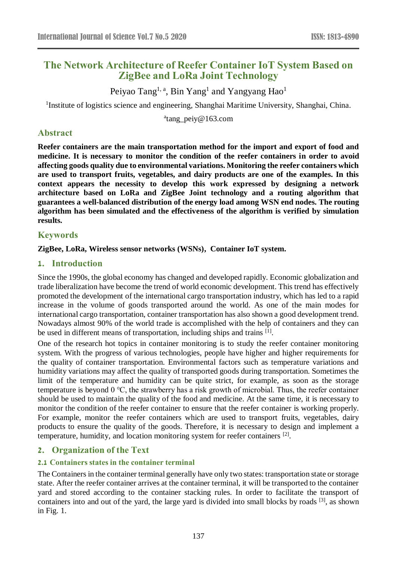# **The Network Architecture of Reefer Container IoT System Based on ZigBee and LoRa Joint Technology**

Peiyao Tang<sup>1, a</sup>, Bin Yang<sup>1</sup> and Yangyang Hao<sup>1</sup>

<sup>1</sup>Institute of logistics science and engineering, Shanghai Maritime University, Shanghai, China.

<sup>a</sup>tang\_peiy@163.com

## **Abstract**

**Reefer containers are the main transportation method for the import and export of food and medicine. It is necessary to monitor the condition of the reefer containers in order to avoid affecting goods quality due to environmental variations. Monitoring the reefer containers which are used to transport fruits, vegetables, and dairy products are one of the examples. In this context appears the necessity to develop this work expressed by designing a network architecture based on LoRa and ZigBee Joint technology and a routing algorithm that guarantees a well-balanced distribution of the energy load among WSN end nodes. The routing algorithm has been simulated and the effectiveness of the algorithm is verified by simulation results.**

## **Keywords**

**ZigBee, LoRa, Wireless sensor networks (WSNs), Container IoT system.**

## **1. Introduction**

Since the 1990s, the global economy has changed and developed rapidly. Economic globalization and trade liberalization have become the trend of world economic development. This trend has effectively promoted the development of the international cargo transportation industry, which has led to a rapid increase in the volume of goods transported around the world. As one of the main modes for international cargo transportation, container transportation has also shown a good development trend. Nowadays almost 90% of the world trade is accomplished with the help of containers and they can be used in different means of transportation, including ships and trains [1].

One of the research hot topics in container monitoring is to study the reefer container monitoring system. With the progress of various technologies, people have higher and higher requirements for the quality of container transportation. Environmental factors such as temperature variations and humidity variations may affect the quality of transported goods during transportation. Sometimes the limit of the temperature and humidity can be quite strict, for example, as soon as the storage temperature is beyond 0 ℃, the strawberry has a risk growth of microbial. Thus, the reefer container should be used to maintain the quality of the food and medicine. At the same time, it is necessary to monitor the condition of the reefer container to ensure that the reefer container is working properly. For example, monitor the reefer containers which are used to transport fruits, vegetables, dairy products to ensure the quality of the goods. Therefore, it is necessary to design and implement a temperature, humidity, and location monitoring system for reefer containers<sup>[2]</sup>.

## **2. Organization of the Text**

### **2.1 Containers states in the container terminal**

The Containers in the container terminal generally have only two states: transportation state or storage state. After the reefer container arrives at the container terminal, it will be transported to the container yard and stored according to the container stacking rules. In order to facilitate the transport of containers into and out of the yard, the large yard is divided into small blocks by roads [3], as shown in Fig. 1.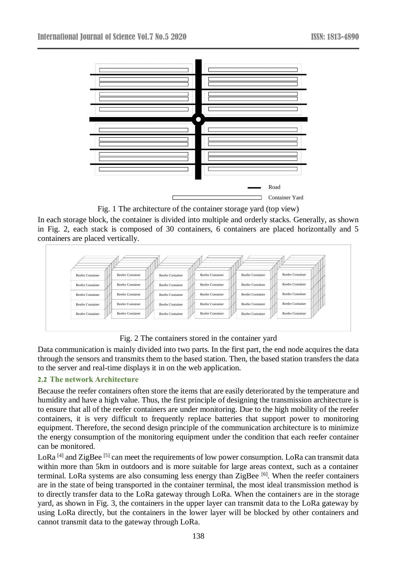

Fig. 1 The architecture of the container storage yard (top view)

In each storage block, the container is divided into multiple and orderly stacks. Generally, as shown in Fig. 2, each stack is composed of 30 containers, 6 containers are placed horizontally and 5 containers are placed vertically.



Fig. 2 The containers stored in the container yard

Data communication is mainly divided into two parts. In the first part, the end node acquires the data through the sensors and transmits them to the based station. Then, the based station transfers the data to the server and real-time displays it in on the web application.

### **2.2 The network Architecture**

Because the reefer containers often store the items that are easily deteriorated by the temperature and humidity and have a high value. Thus, the first principle of designing the transmission architecture is to ensure that all of the reefer containers are under monitoring. Due to the high mobility of the reefer containers, it is very difficult to frequently replace batteries that support power to monitoring equipment. Therefore, the second design principle of the communication architecture is to minimize the energy consumption of the monitoring equipment under the condition that each reefer container can be monitored.

LoRa<sup>[4]</sup> and ZigBee<sup>[5]</sup> can meet the requirements of low power consumption. LoRa can transmit data within more than 5km in outdoors and is more suitable for large areas context, such as a container terminal. LoRa systems are also consuming less energy than ZigBee [6]. When the reefer containers are in the state of being transported in the container terminal, the most ideal transmission method is to directly transfer data to the LoRa gateway through LoRa. When the containers are in the storage yard, as shown in Fig. 3, the containers in the upper layer can transmit data to the LoRa gateway by using LoRa directly, but the containers in the lower layer will be blocked by other containers and cannot transmit data to the gateway through LoRa.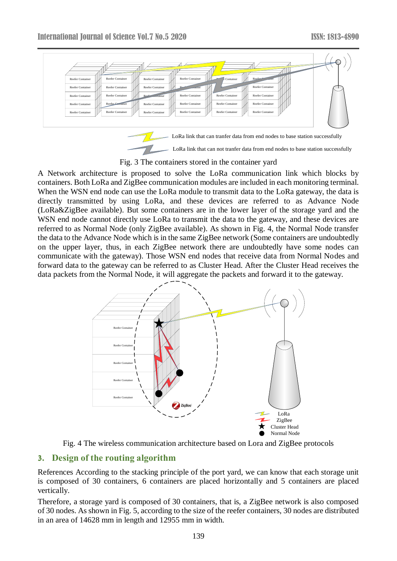

- LoRa link that can not tranfer data from end nodes to base station successfully

Fig. 3 The containers stored in the container yard

A Network architecture is proposed to solve the LoRa communication link which blocks by containers. Both LoRa and ZigBee communication modules are included in each monitoring terminal. When the WSN end node can use the LoRa module to transmit data to the LoRa gateway, the data is directly transmitted by using LoRa, and these devices are referred to as Advance Node (LoRa&ZigBee available). But some containers are in the lower layer of the storage yard and the WSN end node cannot directly use LoRa to transmit the data to the gateway, and these devices are referred to as Normal Node (only ZigBee available). As shown in Fig. 4, the Normal Node transfer the data to the Advance Node which is in the same ZigBee network (Some containers are undoubtedly on the upper layer, thus, in each ZigBee network there are undoubtedly have some nodes can communicate with the gateway). Those WSN end nodes that receive data from Normal Nodes and forward data to the gateway can be referred to as Cluster Head. After the Cluster Head receives the data packets from the Normal Node, it will aggregate the packets and forward it to the gateway.



Fig. 4 The wireless communication architecture based on Lora and ZigBee protocols

## **3. Design of the routing algorithm**

References According to the stacking principle of the port yard, we can know that each storage unit is composed of 30 containers, 6 containers are placed horizontally and 5 containers are placed vertically.

Therefore, a storage yard is composed of 30 containers, that is, a ZigBee network is also composed of 30 nodes. As shown in Fig. 5, according to the size of the reefer containers, 30 nodes are distributed in an area of 14628 mm in length and 12955 mm in width.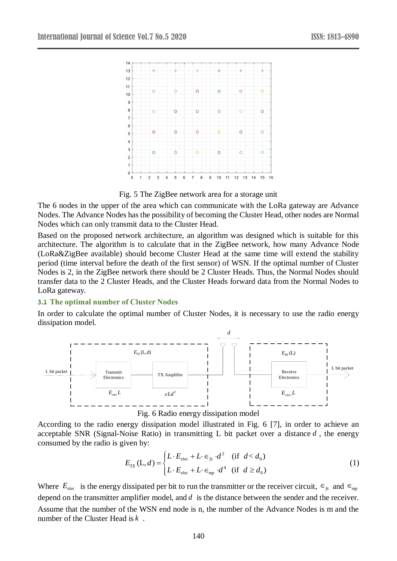

Fig. 5 The ZigBee network area for a storage unit

The 6 nodes in the upper of the area which can communicate with the LoRa gateway are Advance Nodes. The Advance Nodes has the possibility of becoming the Cluster Head, other nodes are Normal Nodes which can only transmit data to the Cluster Head.

Based on the proposed network architecture, an algorithm was designed which is suitable for this architecture. The algorithm is to calculate that in the ZigBee network, how many Advance Node (LoRa&ZigBee available) should become Cluster Head at the same time will extend the stability period (time interval before the death of the first sensor) of WSN. If the optimal number of Cluster Nodes is 2, in the ZigBee network there should be 2 Cluster Heads. Thus, the Normal Nodes should transfer data to the 2 Cluster Heads, and the Cluster Heads forward data from the Normal Nodes to LoRa gateway.

#### **3.1 The optimal number of Cluster Nodes**

In order to calculate the optimal number of Cluster Nodes, it is necessary to use the radio energy dissipation model.





According to the radio energy dissipation model illustrated in Fig. 6 [7], in order to achieve an acceptable SNR (Signal-Noise Ratio) in transmitting L bit packet over a distance *d* , the energy consumed by the radio is given by:

$$
E_{TX}(\mathbf{L}, d) = \begin{cases} L \cdot E_{elec} + L \cdot \in_{fs} d^{2} & \text{if } d < d_{0} \\ L \cdot E_{elec} + L \cdot \in_{mp} d^{4} & \text{if } d \ge d_{0} \end{cases} \tag{1}
$$

Where  $E_{elec}$  is the energy dissipated per bit to run the transmitter or the receiver circuit,  $\epsilon_{fs}$  and  $\epsilon_{mp}$ depend on the transmitter amplifier model, and *d* is the distance between the sender and the receiver. Assume that the number of the WSN end node is n, the number of the Advance Nodes is m and the number of the Cluster Head is *<sup>k</sup>* .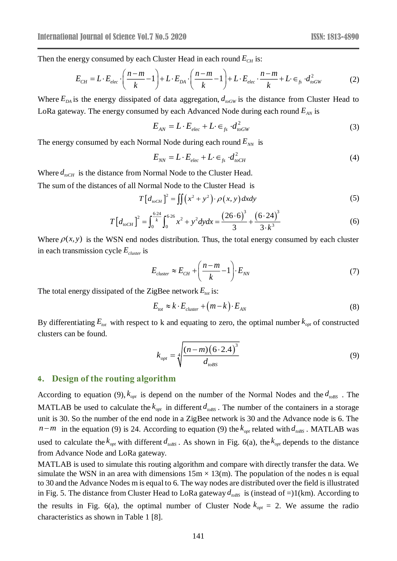Then the energy consumed by each Cluster Head in each round  $E_{CH}$  is:

$$
E_{CH} = L \cdot E_{elec} \cdot \left(\frac{n-m}{k} - 1\right) + L \cdot E_{DA} \cdot \left(\frac{n-m}{k} - 1\right) + L \cdot E_{elec} \cdot \frac{n-m}{k} + L \cdot \epsilon_{fs} \cdot d_{toGW}^2 \tag{2}
$$

Where  $E_{DA}$  is the energy dissipated of data aggregation,  $d_{\textit{toGW}}$  is the distance from Cluster Head to LoRa gateway. The energy consumed by each Advanced Node during each round  $E_{<sub>AN</sub>}$  is

$$
E_{AN} = L \cdot E_{elec} + L \cdot \epsilon_{fs} \cdot d_{\text{toGW}}^2 \tag{3}
$$

The energy consumed by each Normal Node during each round  $E_{NN}$  is

$$
E_{NN} = L \cdot E_{elec} + L \cdot \epsilon_{fs} \cdot d_{\text{noCH}}^2 \tag{4}
$$

Where  $d_{\text{noCH}}$  is the distance from Normal Node to the Cluster Head.

The sum of the distances of all Normal Node to the Cluster Head is

$$
T\left[d_{\text{toCH}}\right]^2 = \iint \left(x^2 + y^2\right) \cdot \rho\left(x, y\right) dxdy \tag{5}
$$

$$
T\left[d_{\text{toCH}}\right]^2 = \int_0^{\frac{6.24}{k}} \int_0^{6.26} x^2 + y^2 \, dy \, dx = \frac{\left(26 \cdot 6\right)^3}{3} + \frac{\left(6 \cdot 24\right)^3}{3 \cdot k^3} \tag{6}
$$

Where  $\rho(x, y)$  is the WSN end nodes distribution. Thus, the total energy consumed by each cluster in each transmission cycle *Ecluster* is

$$
E_{cluster} \approx E_{CH} + \left(\frac{n-m}{k} - 1\right) \cdot E_{NN}
$$
\n(7)

The total energy dissipated of the ZigBee network  $E_{tot}$  is:

$$
E_{\text{tot}} \approx k \cdot E_{\text{cluster}} + (m - k) \cdot E_{\text{AN}} \tag{8}
$$

By differentiating  $E_{tot}$  with respect to k and equating to zero, the optimal number  $k_{opt}$  of constructed clusters can be found.

$$
k_{opt} = \sqrt[4]{\frac{(n-m)(6 \cdot 2.4)^3}{d_{\text{obs}}}}
$$
(9)

#### **4. Design of the routing algorithm**

According to equation (9),  $k_{opt}$  is depend on the number of the Normal Nodes and the  $d_{\text{obs}}$ . The MATLAB be used to calculate the  $k_{opt}$  in different  $d_{\text{obs}}$ . The number of the containers in a storage unit is 30. So the number of the end node in a ZigBee network is 30 and the Advance node is 6. The  $n-m$  in the equation (9) is 24. According to equation (9) the  $k_{opt}$  related with  $d_{\textit{toBS}}$ . MATLAB was used to calculate the  $k_{opt}$  with different  $d_{\text{t} \text{obs}}$ . As shown in Fig. 6(a), the  $k_{opt}$  depends to the distance from Advance Node and LoRa gateway.

MATLAB is used to simulate this routing algorithm and compare with directly transfer the data. We simulate the WSN in an area with dimensions  $15m \times 13(m)$ . The population of the nodes n is equal to 30 and the Advance Nodes m is equal to 6. The way nodes are distributed over the field is illustrated in Fig. 5. The distance from Cluster Head to LoRa gateway  $d_{\text{obs}}$  is (instead of =)1(km). According to the results in Fig. 6(a), the optimal number of Cluster Node  $k_{opt} = 2$ . We assume the radio characteristics as shown in Table 1 [8].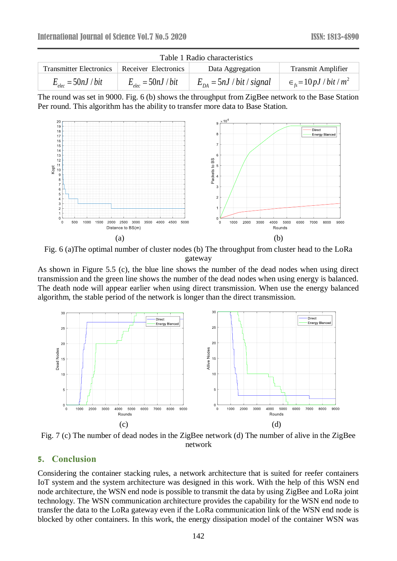| Table 1 Radio characteristics                |                       |                           |                                               |
|----------------------------------------------|-----------------------|---------------------------|-----------------------------------------------|
| Transmitter Electronics Receiver Electronics |                       | Data Aggregation          | <b>Transmit Amplifier</b>                     |
| $E_{elec} = 50nJ/bit$                        | $E_{elec} = 50nJ/bit$ | $E_{DA} = 5nJ/bit/signal$ | $\epsilon_{\rm fs} = 10 \, pJ / \, bit / m^2$ |





Fig. 6 (a)The optimal number of cluster nodes (b) The throughput from cluster head to the LoRa gateway

As shown in Figure 5.5 (c), the blue line shows the number of the dead nodes when using direct transmission and the green line shows the number of the dead nodes when using energy is balanced. The death node will appear earlier when using direct transmission. When use the energy balanced algorithm, the stable period of the network is longer than the direct transmission.



Fig. 7 (c) The number of dead nodes in the ZigBee network (d) The number of alive in the ZigBee network

### **5. Conclusion**

Considering the container stacking rules, a network architecture that is suited for reefer containers IoT system and the system architecture was designed in this work. With the help of this WSN end node architecture, the WSN end node is possible to transmit the data by using ZigBee and LoRa joint technology. The WSN communication architecture provides the capability for the WSN end node to transfer the data to the LoRa gateway even if the LoRa communication link of the WSN end node is blocked by other containers. In this work, the energy dissipation model of the container WSN was